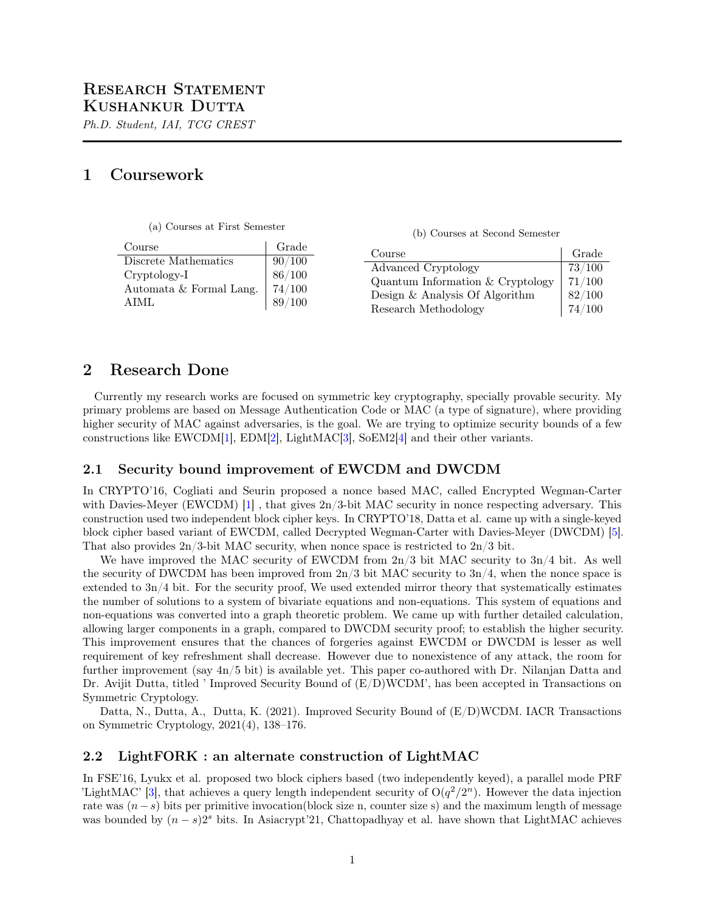Ph.D. Student, IAI, TCG CREST

## 1 Coursework

| (a) Courses at First Semester |
|-------------------------------|
|-------------------------------|

(b) Courses at Second Semester

| Course                  | Grade  | Course                             | Grade  |
|-------------------------|--------|------------------------------------|--------|
| Discrete Mathematics    | 90/100 | Advanced Cryptology                | 73/100 |
| Cryptology-I            | 86/100 | Quantum Information $& Cryptology$ | 71/100 |
| Automata & Formal Lang. | 74/100 | Design & Analysis Of Algorithm     | 82/100 |
| AIML                    | 89/100 | Research Methodology               | 74/100 |

# 2 Research Done

Currently my research works are focused on symmetric key cryptography, specially provable security. My primary problems are based on Message Authentication Code or MAC (a type of signature), where providing higher security of MAC against adversaries, is the goal. We are trying to optimize security bounds of a few constructions like EWCDM[\[1\]](#page-1-0), EDM[\[2\]](#page-1-1), LightMAC[\[3\]](#page-1-2), SoEM2[\[4\]](#page-1-3) and their other variants.

#### 2.1 Security bound improvement of EWCDM and DWCDM

In CRYPTO'16, Cogliati and Seurin proposed a nonce based MAC, called Encrypted Wegman-Carter with Davies-Meyer (EWCDM) [\[1\]](#page-1-0), that gives  $2n/3$ -bit MAC security in nonce respecting adversary. This construction used two independent block cipher keys. In CRYPTO'18, Datta et al. came up with a single-keyed block cipher based variant of EWCDM, called Decrypted Wegman-Carter with Davies-Meyer (DWCDM) [\[5\]](#page-1-4). That also provides  $2n/3$ -bit MAC security, when nonce space is restricted to  $2n/3$  bit.

We have improved the MAC security of EWCDM from  $2n/3$  bit MAC security to  $3n/4$  bit. As well the security of DWCDM has been improved from  $2n/3$  bit MAC security to  $3n/4$ , when the nonce space is extended to 3n/4 bit. For the security proof, We used extended mirror theory that systematically estimates the number of solutions to a system of bivariate equations and non-equations. This system of equations and non-equations was converted into a graph theoretic problem. We came up with further detailed calculation, allowing larger components in a graph, compared to DWCDM security proof; to establish the higher security. This improvement ensures that the chances of forgeries against EWCDM or DWCDM is lesser as well requirement of key refreshment shall decrease. However due to nonexistence of any attack, the room for further improvement (say 4n/5 bit) is available yet. This paper co-authored with Dr. Nilanjan Datta and Dr. Avijit Dutta, titled ' Improved Security Bound of  $(E/D)WCDM'$ , has been accepted in Transactions on Symmetric Cryptology.

Datta, N., Dutta, A., Dutta, K. (2021). Improved Security Bound of (E/D)WCDM. IACR Transactions on Symmetric Cryptology, 2021(4), 138–176.

#### 2.2 LightFORK : an alternate construction of LightMAC

In FSE'16, Lyukx et al. proposed two block ciphers based (two independently keyed), a parallel mode PRF 'LightMAC' [\[3\]](#page-1-2), that achieves a query length independent security of  $O(q^2/2^n)$ . However the data injection rate was  $(n-s)$  bits per primitive invocation(block size n, counter size s) and the maximum length of message was bounded by  $(n - s)2<sup>s</sup>$  bits. In Asiacrypt'21, Chattopadhyay et al. have shown that LightMAC achieves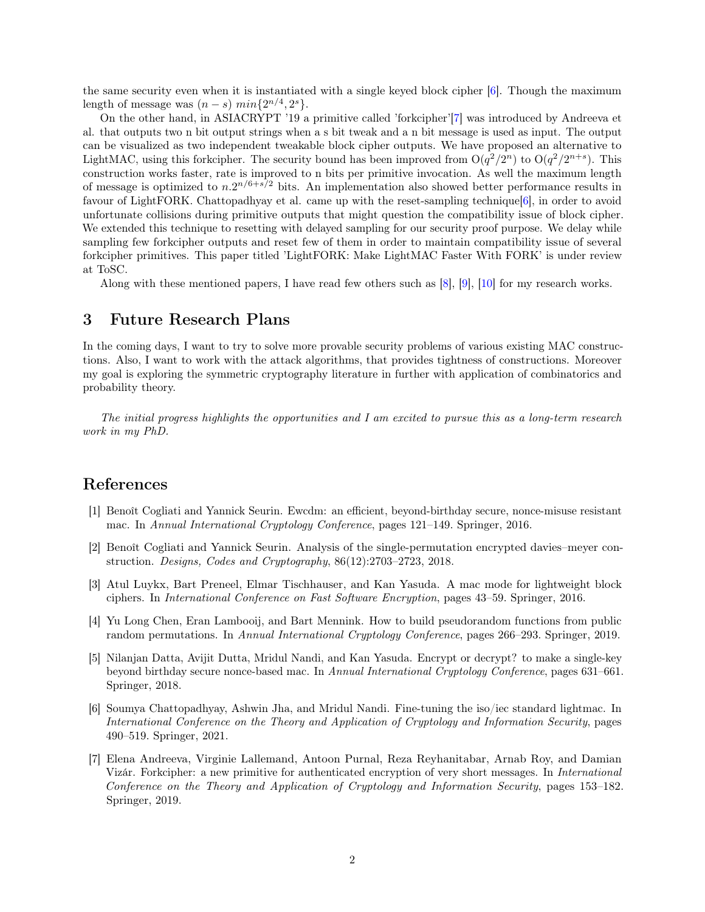the same security even when it is instantiated with a single keyed block cipher [\[6\]](#page-1-5). Though the maximum length of message was  $(n-s)$   $min{2^{n/4}, 2^s}$ .

On the other hand, in ASIACRYPT '19 a primitive called 'forkcipher'[\[7\]](#page-1-6) was introduced by Andreeva et al. that outputs two n bit output strings when a s bit tweak and a n bit message is used as input. The output can be visualized as two independent tweakable block cipher outputs. We have proposed an alternative to LightMAC, using this forkcipher. The security bound has been improved from  $O(q^2/2^n)$  to  $O(q^2/2^{n+s})$ . This construction works faster, rate is improved to n bits per primitive invocation. As well the maximum length of message is optimized to  $n.2^{n/6+s/2}$  bits. An implementation also showed better performance results in favour of LightFORK. Chattopadhyay et al. came up with the reset-sampling technique[\[6\]](#page-1-5), in order to avoid unfortunate collisions during primitive outputs that might question the compatibility issue of block cipher. We extended this technique to resetting with delayed sampling for our security proof purpose. We delay while sampling few forkcipher outputs and reset few of them in order to maintain compatibility issue of several forkcipher primitives. This paper titled 'LightFORK: Make LightMAC Faster With FORK' is under review at ToSC.

Along with these mentioned papers, I have read few others such as [\[8\]](#page-2-0), [\[9\]](#page-2-1), [\[10\]](#page-2-2) for my research works.

### 3 Future Research Plans

In the coming days, I want to try to solve more provable security problems of various existing MAC constructions. Also, I want to work with the attack algorithms, that provides tightness of constructions. Moreover my goal is exploring the symmetric cryptography literature in further with application of combinatorics and probability theory.

The initial progress highlights the opportunities and I am excited to pursue this as a long-term research work in my PhD.

### References

- <span id="page-1-0"></span>[1] Benoît Cogliati and Yannick Seurin. Ewcdm: an efficient, beyond-birthday secure, nonce-misuse resistant mac. In Annual International Cryptology Conference, pages 121–149. Springer, 2016.
- <span id="page-1-1"></span>[2] Benoît Cogliati and Yannick Seurin. Analysis of the single-permutation encrypted davies–meyer construction. Designs, Codes and Cryptography, 86(12):2703–2723, 2018.
- <span id="page-1-2"></span>[3] Atul Luykx, Bart Preneel, Elmar Tischhauser, and Kan Yasuda. A mac mode for lightweight block ciphers. In International Conference on Fast Software Encryption, pages 43–59. Springer, 2016.
- <span id="page-1-3"></span>[4] Yu Long Chen, Eran Lambooij, and Bart Mennink. How to build pseudorandom functions from public random permutations. In Annual International Cryptology Conference, pages 266–293. Springer, 2019.
- <span id="page-1-4"></span>[5] Nilanjan Datta, Avijit Dutta, Mridul Nandi, and Kan Yasuda. Encrypt or decrypt? to make a single-key beyond birthday secure nonce-based mac. In Annual International Cryptology Conference, pages 631–661. Springer, 2018.
- <span id="page-1-5"></span>[6] Soumya Chattopadhyay, Ashwin Jha, and Mridul Nandi. Fine-tuning the iso/iec standard lightmac. In International Conference on the Theory and Application of Cryptology and Information Security, pages 490–519. Springer, 2021.
- <span id="page-1-6"></span>[7] Elena Andreeva, Virginie Lallemand, Antoon Purnal, Reza Reyhanitabar, Arnab Roy, and Damian Vizár. Forkcipher: a new primitive for authenticated encryption of very short messages. In International Conference on the Theory and Application of Cryptology and Information Security, pages 153–182. Springer, 2019.